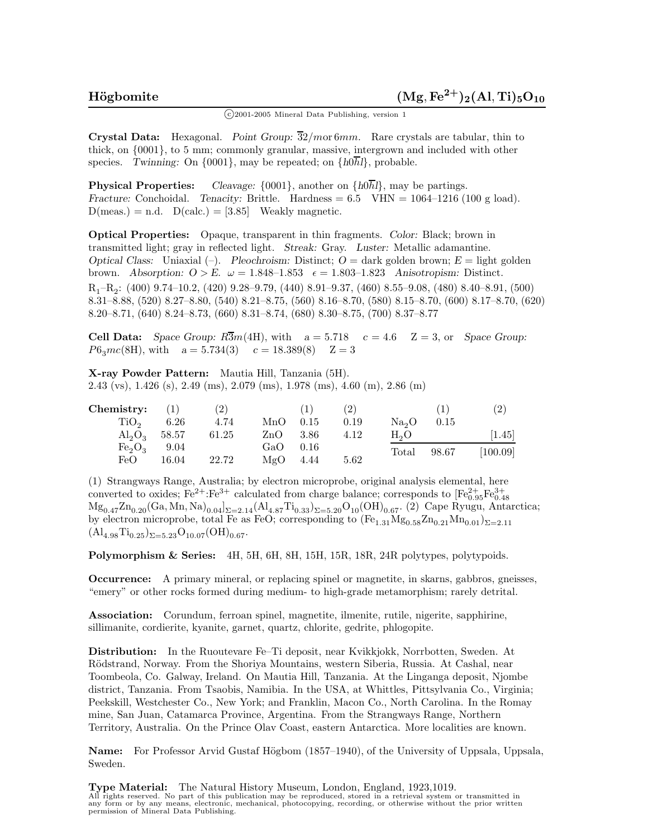$\binom{c}{2001}$ -2005 Mineral Data Publishing, version 1

**Crystal Data:** Hexagonal. *Point Group:* 32*/m*or 6*mm.* Rare crystals are tabular, thin to thick, on {0001}, to 5 mm; commonly granular, massive, intergrown and included with other species. *Twinning:* On  $\{0001\}$ , may be repeated; on  $\{h0\overline{h}l\}$ , probable.

**Physical Properties:** *Cleavage:*  $\{0001\}$ , another on  $\{h0\overline{h}l\}$ , may be partings. *Fracture:* Conchoidal. *Tenacity:* Brittle. Hardness =  $6.5$  VHN =  $1064-1216$  (100 g load).  $D(meas.) = n.d.$   $D(calc.) = [3.85]$  Weakly magnetic.

**Optical Properties:** Opaque, transparent in thin fragments. *Color:* Black; brown in transmitted light; gray in reflected light. *Streak:* Gray. *Luster:* Metallic adamantine. *Optical Class:* Uniaxial  $(-)$ . *Pleochroism:* Distinct;  $O =$  dark golden brown;  $E =$  light golden brown. *Absorption:*  $O > E$ .  $\omega = 1.848 - 1.853$   $\epsilon = 1.803 - 1.823$  *Anisotropism:* Distinct. R1–R2: (400) 9.74–10.2, (420) 9.28–9.79, (440) 8.91–9.37, (460) 8.55–9.08, (480) 8.40–8.91, (500) 8.31–8.88, (520) 8.27–8.80, (540) 8.21–8.75, (560) 8.16–8.70, (580) 8.15–8.70, (600) 8.17–8.70, (620) 8.20–8.71, (640) 8.24–8.73, (660) 8.31–8.74, (680) 8.30–8.75, (700) 8.37–8.77

**Cell Data:** *Space Group:*  $R\overline{3}m(4H)$ , with  $a = 5.718$   $c = 4.6$   $Z = 3$ , or *Space Group:*  $P6_3mc(8H)$ , with  $a = 5.734(3)$   $c = 18.389(8)$   $Z = 3$ 

**X-ray Powder Pattern:** Mautia Hill, Tanzania (5H). 2.43 (vs), 1.426 (s), 2.49 (ms), 2.079 (ms), 1.978 (ms), 4.60 (m), 2.86 (m)

| Chemistry:       | (1)   | (2)   |       | (1)    | (2)  |                   |       | $\left( 2\right)$   |
|------------------|-------|-------|-------|--------|------|-------------------|-------|---------------------|
| TiO <sub>2</sub> | 6.26  | 4.74  | MnO   | 0.15   | 0.19 | Na <sub>2</sub> O | 0.15  |                     |
| $Al_2O_3$ 58.57  |       | 61.25 | ZnO   | - 3.86 | 4.12 | H <sub>2</sub> O  |       | $\left[1.45\right]$ |
| $Fe_2O_3$        | 9.04  |       | GaO - | 0.16   |      | Total             | 98.67 | [100.09]            |
| FeO              | 16.04 | 22.72 | MgΟ   | 4.44   | 5.62 |                   |       |                     |

(1) Strangways Range, Australia; by electron microprobe, original analysis elemental, here converted to oxides;  $Fe^{2+} : Fe^{3+}$  calculated from charge balance; corresponds to  $[Fe_{0.95}^{2+}Fe_{0.48}^{3+}]$  $Mg_{0.47}Zn_{0.20}(Ga, Mn, Na)_{0.04}]_{\Sigma=2.14}(Al_{4.87}Ti_{0.33})_{\Sigma=5.20}O_{10}(OH)_{0.67}$ . (2) Cape Ryugu, Antarctica; by electron microprobe, total Fe as FeO; corresponding to  $(F_{2,31}Mg_{0.58}Zn_{0.21}Mn_{0.01})_{\Sigma=2.11}$  $(A)_{4.98}$ Ti<sub>0.25</sub>)<sub> $\Sigma$ =5.23</sub>O<sub>10.07</sub>(OH)<sub>0.67</sub>.

**Polymorphism & Series:** 4H, 5H, 6H, 8H, 15H, 15R, 18R, 24R polytypes, polytypoids.

**Occurrence:** A primary mineral, or replacing spinel or magnetite, in skarns, gabbros, gneisses, "emery" or other rocks formed during medium- to high-grade metamorphism; rarely detrital.

**Association:** Corundum, ferroan spinel, magnetite, ilmenite, rutile, nigerite, sapphirine, sillimanite, cordierite, kyanite, garnet, quartz, chlorite, gedrite, phlogopite.

**Distribution:** In the Ruoutevare Fe–Ti deposit, near Kvikkjokk, Norrbotten, Sweden. At Rödstrand, Norway. From the Shoriya Mountains, western Siberia, Russia. At Cashal, near Toombeola, Co. Galway, Ireland. On Mautia Hill, Tanzania. At the Linganga deposit, Njombe district, Tanzania. From Tsaobis, Namibia. In the USA, at Whittles, Pittsylvania Co., Virginia; Peekskill, Westchester Co., New York; and Franklin, Macon Co., North Carolina. In the Romay mine, San Juan, Catamarca Province, Argentina. From the Strangways Range, Northern Territory, Australia. On the Prince Olav Coast, eastern Antarctica. More localities are known.

**Name:** For Professor Arvid Gustaf Högbom (1857–1940), of the University of Uppsala, Uppsala, Sweden.

**Type Material:** The Natural History Museum, London, England, 1923,1019. All rights reserved. No part of this publication may be reproduced, stored in a retrieval system or transmitted in any form or by any means, electronic, mechanical, photocopying, recording, or otherwise without the prior written permission of Mineral Data Publishing.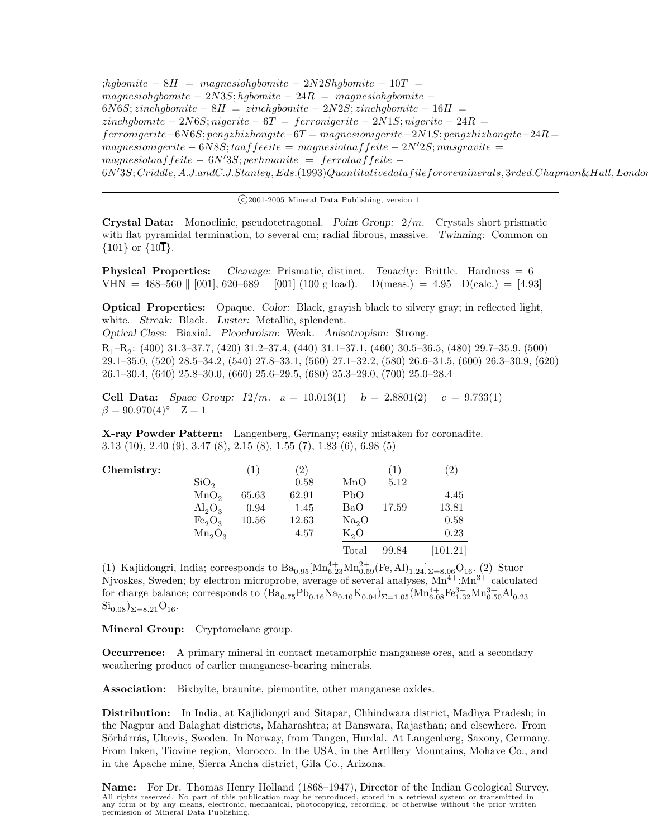$; hqbomite - 8H = maqnesiohqbomite - 2N2Shqbomite - 10T =$  $magnes inq bomb of the  $-2N3S$ ; *hgbomite*  $-24R$  = *magnes inq bomb of the  $-2M3S$*$  $6N6S$ ; *zinchgbomite* −  $8H = zinchgbomite - 2N2S$ ; *zinchgbomite* −  $16H =$ *zinchgbomite* − 2*N*6*S*; *nigerite* − 6*T* = *ferronigerite* − 2*N*1*S*; *nigerite* − 24*R* = *ferronigerite*−6*N*6*S*; *pengzhizhongite*−6*T* = *magnesionigerite*−2*N*1*S*; *pengzhizhongite*−24*R* =  $magnesionigerite - 6N8S; taaffeeite = magnesiotaaffeite - 2N'2S; musgravite =$  $magnesiotaaffeite - 6N'3S; perhmanite = ferrotaaffeite 6N^\prime 3S; Criddle, A.J. and C.J. Stanley, Eds. (1993) Quantitative data file fororeminerals, 3rded. Chapman \& Hall, London, and I.$ 

 $(c)$ 2001-2005 Mineral Data Publishing, version 1

**Crystal Data:** Monoclinic, pseudotetragonal. *Point Group:* 2*/m.* Crystals short prismatic with flat pyramidal termination, to several cm; radial fibrous, massive. *Twinning:* Common on  $\{101\}$  or  $\{10\overline{1}\}.$ 

**Physical Properties:** *Cleavage:* Prismatic, distinct. *Tenacity:* Brittle. Hardness = 6 VHN = 488–560 || [001], 620–689  $\perp$  [001] (100 g load). D(meas.) = 4.95 D(calc.) = [4.93]

**Optical Properties:** Opaque. *Color:* Black, grayish black to silvery gray; in reflected light, white. *Streak:* Black. *Luster:* Metallic, splendent. *Optical Class:* Biaxial. *Pleochroism:* Weak. *Anisotropism:* Strong.

R1–R2: (400) 31.3–37.7, (420) 31.2–37.4, (440) 31.1–37.1, (460) 30.5–36.5, (480) 29.7–35.9, (500) 29.1–35.0, (520) 28.5–34.2, (540) 27.8–33.1, (560) 27.1–32.2, (580) 26.6–31.5, (600) 26.3–30.9, (620) 26.1–30.4, (640) 25.8–30.0, (660) 25.6–29.5, (680) 25.3–29.0, (700) 25.0–28.4

**Cell Data:** *Space Group:*  $I2/m$ .  $a = 10.013(1)$   $b = 2.8801(2)$   $c = 9.733(1)$  $\beta = 90.970(4)$ ° Z = 1

**X-ray Powder Pattern:** Langenberg, Germany; easily mistaken for coronadite. 3.13 (10), 2.40 (9), 3.47 (8), 2.15 (8), 1.55 (7), 1.83 (6), 6.98 (5)

| Chemistry: |                                | $\left(1\right)$ | $\left( 2\right)$ |                   | $\Box$ | $\left( 2\right)$ |
|------------|--------------------------------|------------------|-------------------|-------------------|--------|-------------------|
|            | SiO <sub>2</sub>               |                  | 0.58              | MnO               | 5.12   |                   |
|            | MnO <sub>2</sub>               | 65.63            | 62.91             | PbO               |        | 4.45              |
|            | $\mathrm{Al}_2\mathrm{O}_3$    | 0.94             | 1.45              | BaO               | 17.59  | 13.81             |
|            | Fe <sub>2</sub> O <sub>3</sub> | $10.56\,$        | 12.63             | Na <sub>2</sub> O |        | 0.58              |
|            | $Mn_2O_3$                      |                  | 4.57              | $K_2O$            |        | 0.23              |
|            |                                |                  |                   | Total             | 99.84  | [101.21]          |

(1) Kajlidongri, India; corresponds to  $Ba_{0.95}[Mn_{6.23}^{4+}Mn_{0.59}^{2+}(Fe, Al)_{1.24}]_{\Sigma=8.06}O_{16}$ . (2) Stuor Njvoskes, Sweden; by electron microprobe, average of several analyses,  $Mn^{4+}$ : $Mn^{3+}$  calculated for charge balance; corresponds to  $(Ba_{0.75}Pb_{0.16}Na_{0.10}K_{0.04})_{\Sigma=1.05}(Mn_{6.08}^{4+}Fe_{1.32}^{3+}Mn_{0.50}^{3+}Al_{0.23}$  $\text{Si}_{0.08}$ )<sub> $\Sigma=8.21$ </sub> $\text{O}_{16}$ .

**Mineral Group:** Cryptomelane group.

**Occurrence:** A primary mineral in contact metamorphic manganese ores, and a secondary weathering product of earlier manganese-bearing minerals.

**Association:** Bixbyite, braunite, piemontite, other manganese oxides.

**Distribution:** In India, at Kajlidongri and Sitapar, Chhindwara district, Madhya Pradesh; in the Nagpur and Balaghat districts, Maharashtra; at Banswara, Rajasthan; and elsewhere. From Sörhårrås, Ultevis, Sweden. In Norway, from Tangen, Hurdal. At Langenberg, Saxony, Germany. From Inken, Tiovine region, Morocco. In the USA, in the Artillery Mountains, Mohave Co., and in the Apache mine, Sierra Ancha district, Gila Co., Arizona.

**Name:** For Dr. Thomas Henry Holland (1868–1947), Director of the Indian Geological Survey. All rights reserved. No part of this publication may be reproduced, stored in a retrieval system or transmitted in any form or by any means, electronic, mechanical, photocopying, recording, or otherwise without the prior written permission of Mineral Data Publishing.